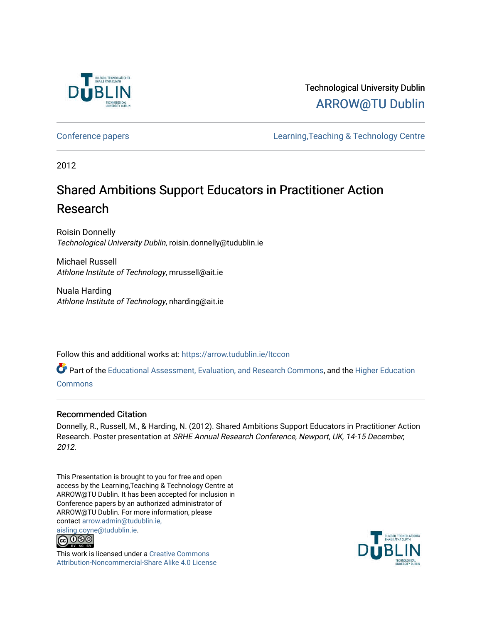

# Technological University Dublin [ARROW@TU Dublin](https://arrow.tudublin.ie/)

[Conference papers](https://arrow.tudublin.ie/ltccon) [Learning,Teaching & Technology Centre](https://arrow.tudublin.ie/ltc) 

2012

# Shared Ambitions Support Educators in Practitioner Action Research

Roisin Donnelly Technological University Dublin, roisin.donnelly@tudublin.ie

Michael Russell Athlone Institute of Technology, mrussell@ait.ie

Nuala Harding Athlone Institute of Technology, nharding@ait.ie

Follow this and additional works at: [https://arrow.tudublin.ie/ltccon](https://arrow.tudublin.ie/ltccon?utm_source=arrow.tudublin.ie%2Fltccon%2F32&utm_medium=PDF&utm_campaign=PDFCoverPages)

Part of the [Educational Assessment, Evaluation, and Research Commons](http://network.bepress.com/hgg/discipline/796?utm_source=arrow.tudublin.ie%2Fltccon%2F32&utm_medium=PDF&utm_campaign=PDFCoverPages), and the [Higher Education](http://network.bepress.com/hgg/discipline/1245?utm_source=arrow.tudublin.ie%2Fltccon%2F32&utm_medium=PDF&utm_campaign=PDFCoverPages) [Commons](http://network.bepress.com/hgg/discipline/1245?utm_source=arrow.tudublin.ie%2Fltccon%2F32&utm_medium=PDF&utm_campaign=PDFCoverPages)

### Recommended Citation

Donnelly, R., Russell, M., & Harding, N. (2012). Shared Ambitions Support Educators in Practitioner Action Research. Poster presentation at SRHE Annual Research Conference, Newport, UK, 14-15 December, 2012.

This Presentation is brought to you for free and open access by the Learning,Teaching & Technology Centre at ARROW@TU Dublin. It has been accepted for inclusion in Conference papers by an authorized administrator of ARROW@TU Dublin. For more information, please contact [arrow.admin@tudublin.ie,](mailto:arrow.admin@tudublin.ie,%20aisling.coyne@tudublin.ie)  [aisling.coyne@tudublin.ie.](mailto:arrow.admin@tudublin.ie,%20aisling.coyne@tudublin.ie)



This work is licensed under a [Creative Commons](http://creativecommons.org/licenses/by-nc-sa/4.0/) [Attribution-Noncommercial-Share Alike 4.0 License](http://creativecommons.org/licenses/by-nc-sa/4.0/)

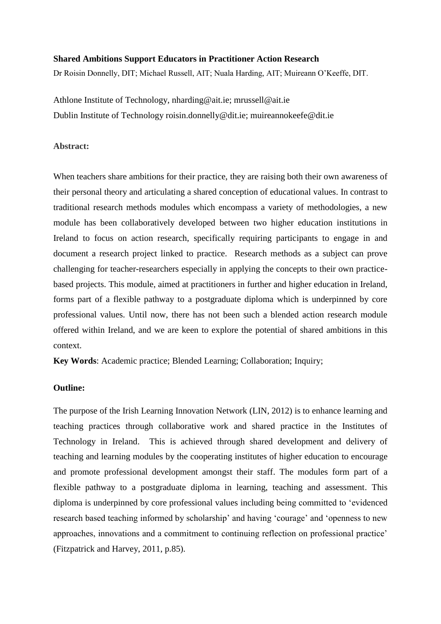#### **Shared Ambitions Support Educators in Practitioner Action Research**

Dr Roisin Donnelly, DIT; Michael Russell, AIT; Nuala Harding, AIT; Muireann O'Keeffe, DIT.

Athlone Institute of Technology, nharding@ait.ie; mrussell@ait.ie Dublin Institute of Technology roisin.donnelly@dit.ie; muireannokeefe@dit.ie

#### **Abstract:**

When teachers share ambitions for their practice, they are raising both their own awareness of their personal theory and articulating a shared conception of educational values. In contrast to traditional research methods modules which encompass a variety of methodologies, a new module has been collaboratively developed between two higher education institutions in Ireland to focus on action research, specifically requiring participants to engage in and document a research project linked to practice. Research methods as a subject can prove challenging for teacher-researchers especially in applying the concepts to their own practicebased projects. This module, aimed at practitioners in further and higher education in Ireland, forms part of a flexible pathway to a postgraduate diploma which is underpinned by core professional values. Until now, there has not been such a blended action research module offered within Ireland, and we are keen to explore the potential of shared ambitions in this context.

**Key Words**: Academic practice; Blended Learning; Collaboration; Inquiry;

## **Outline:**

The purpose of the Irish Learning Innovation Network (LIN, 2012) is to enhance learning and teaching practices through collaborative work and shared practice in the Institutes of Technology in Ireland. This is achieved through shared development and delivery of teaching and learning modules by the cooperating institutes of higher education to encourage and promote professional development amongst their staff. The modules form part of a flexible pathway to a postgraduate diploma in learning, teaching and assessment. This diploma is underpinned by core professional values including being committed to 'evidenced research based teaching informed by scholarship' and having 'courage' and 'openness to new approaches, innovations and a commitment to continuing reflection on professional practice' (Fitzpatrick and Harvey, 2011, p.85).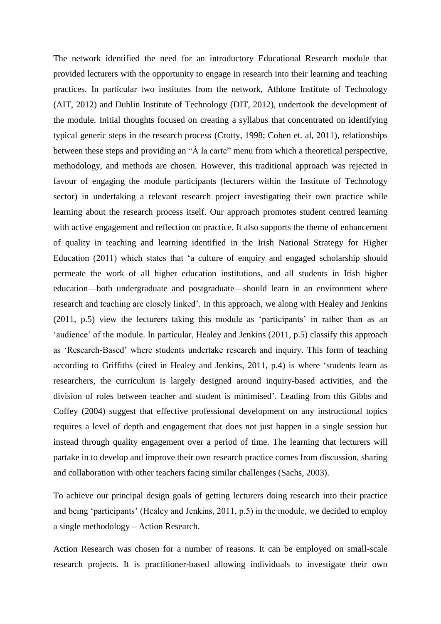The network identified the need for an introductory Educational Research module that provided lecturers with the opportunity to engage in research into their learning and teaching practices. In particular two institutes from the network, Athlone Institute of Technology (AIT, 2012) and Dublin Institute of Technology (DIT, 2012), undertook the development of the module. Initial thoughts focused on creating a syllabus that concentrated on identifying typical generic steps in the research process (Crotty, 1998; Cohen et. al, 2011), relationships between these steps and providing an "À la carte" menu from which a theoretical perspective, methodology, and methods are chosen. However, this traditional approach was rejected in favour of engaging the module participants (lecturers within the Institute of Technology sector) in undertaking a relevant research project investigating their own practice while learning about the research process itself. Our approach promotes student centred learning with active engagement and reflection on practice. It also supports the theme of enhancement of quality in teaching and learning identified in the Irish National Strategy for Higher Education (2011) which states that 'a culture of enquiry and engaged scholarship should permeate the work of all higher education institutions, and all students in Irish higher education—both undergraduate and postgraduate—should learn in an environment where research and teaching are closely linked'. In this approach, we along with Healey and Jenkins (2011, p.5) view the lecturers taking this module as 'participants' in rather than as an 'audience' of the module. In particular, Healey and Jenkins (2011, p.5) classify this approach as 'Research-Based' where students undertake research and inquiry. This form of teaching according to Griffiths (cited in Healey and Jenkins, 2011, p.4) is where 'students learn as researchers, the curriculum is largely designed around inquiry-based activities, and the division of roles between teacher and student is minimised'. Leading from this Gibbs and Coffey (2004) suggest that effective professional development on any instructional topics requires a level of depth and engagement that does not just happen in a single session but instead through quality engagement over a period of time. The learning that lecturers will partake in to develop and improve their own research practice comes from discussion, sharing and collaboration with other teachers facing similar challenges (Sachs, 2003).

To achieve our principal design goals of getting lecturers doing research into their practice and being 'participants' (Healey and Jenkins, 2011, p.5) in the module, we decided to employ a single methodology – Action Research.

Action Research was chosen for a number of reasons. It can be employed on small-scale research projects. It is practitioner-based allowing individuals to investigate their own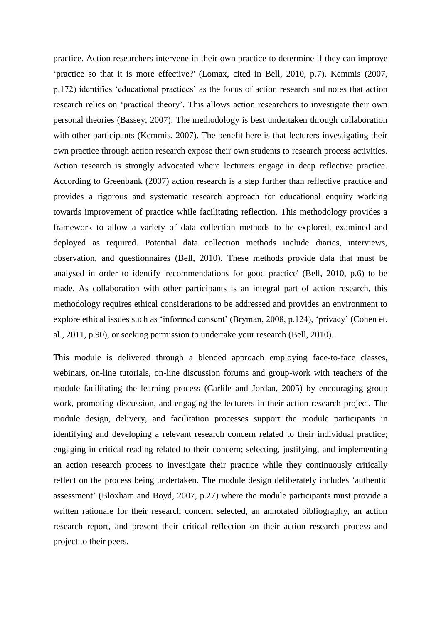practice. Action researchers intervene in their own practice to determine if they can improve 'practice so that it is more effective?' (Lomax, cited in Bell, 2010, p.7). Kemmis (2007, p.172) identifies 'educational practices' as the focus of action research and notes that action research relies on 'practical theory'. This allows action researchers to investigate their own personal theories (Bassey, 2007). The methodology is best undertaken through collaboration with other participants (Kemmis, 2007). The benefit here is that lecturers investigating their own practice through action research expose their own students to research process activities. Action research is strongly advocated where lecturers engage in deep reflective practice. According to Greenbank (2007) action research is a step further than reflective practice and provides a rigorous and systematic research approach for educational enquiry working towards improvement of practice while facilitating reflection. This methodology provides a framework to allow a variety of data collection methods to be explored, examined and deployed as required. Potential data collection methods include diaries, interviews, observation, and questionnaires (Bell, 2010). These methods provide data that must be analysed in order to identify 'recommendations for good practice' (Bell, 2010, p.6) to be made. As collaboration with other participants is an integral part of action research, this methodology requires ethical considerations to be addressed and provides an environment to explore ethical issues such as 'informed consent' (Bryman, 2008, p.124), 'privacy' (Cohen et. al., 2011, p.90), or seeking permission to undertake your research (Bell, 2010).

This module is delivered through a blended approach employing face-to-face classes, webinars, on-line tutorials, on-line discussion forums and group-work with teachers of the module facilitating the learning process (Carlile and Jordan, 2005) by encouraging group work, promoting discussion, and engaging the lecturers in their action research project. The module design, delivery, and facilitation processes support the module participants in identifying and developing a relevant research concern related to their individual practice; engaging in critical reading related to their concern; selecting, justifying, and implementing an action research process to investigate their practice while they continuously critically reflect on the process being undertaken. The module design deliberately includes 'authentic assessment' (Bloxham and Boyd, 2007, p.27) where the module participants must provide a written rationale for their research concern selected, an annotated bibliography, an action research report, and present their critical reflection on their action research process and project to their peers.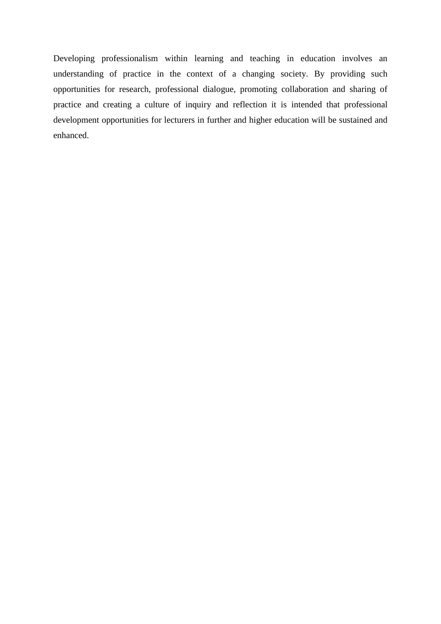Developing professionalism within learning and teaching in education involves an understanding of practice in the context of a changing society. By providing such opportunities for research, professional dialogue, promoting collaboration and sharing of practice and creating a culture of inquiry and reflection it is intended that professional development opportunities for lecturers in further and higher education will be sustained and enhanced.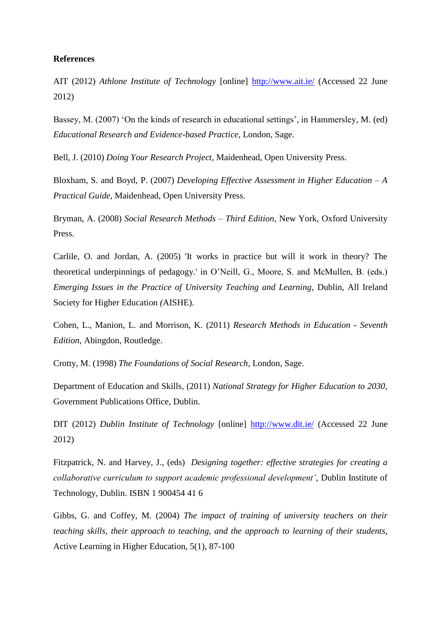#### **References**

AIT (2012) *Athlone Institute of Technology* [online] <http://www.ait.ie/> (Accessed 22 June 2012)

Bassey, M. (2007) 'On the kinds of research in educational settings', in Hammersley, M. (ed) *Educational Research and Evidence-based Practice*, London, Sage.

Bell, J. (2010) *Doing Your Research Project*, Maidenhead, Open University Press.

Bloxham, S. and Boyd, P. (2007) *Developing Effective Assessment in Higher Education – A Practical Guide*, Maidenhead, Open University Press.

Bryman, A. (2008) *Social Research Methods – Third Edition,* New York, Oxford University Press.

Carlile, O. and Jordan, A. (2005) 'It works in practice but will it work in theory? The theoretical underpinnings of pedagogy.' in O'Neill, G., Moore, S. and McMullen, B. (eds.) *Emerging Issues in the Practice of University Teaching and Learning*, Dublin, All Ireland Society for Higher Education *(*AISHE).

Cohen, L., Manion, L. and Morrison, K. (2011) *Research Methods in Education - Seventh Edition*, Abingdon, Routledge.

Crotty, M. (1998) *The Foundations of Social Research*, London, Sage.

Department of Education and Skills, (2011) *National Strategy for Higher Education to 2030,*  Government Publications Office, Dublin.

DIT (2012) *Dublin Institute of Technology* [online] <http://www.dit.ie/> (Accessed 22 June 2012)

Fitzpatrick, N. and Harvey, J., (eds) *Designing together: effective strategies for creating a collaborative curriculum to support academic professional development'*, Dublin Institute of Technology, Dublin. ISBN 1 900454 41 6

Gibbs, G. and Coffey, M. (2004) *The impact of training of university teachers on their teaching skills, their approach to teaching, and the approach to learning of their students,* Active Learning in Higher Education, 5(1), 87-100